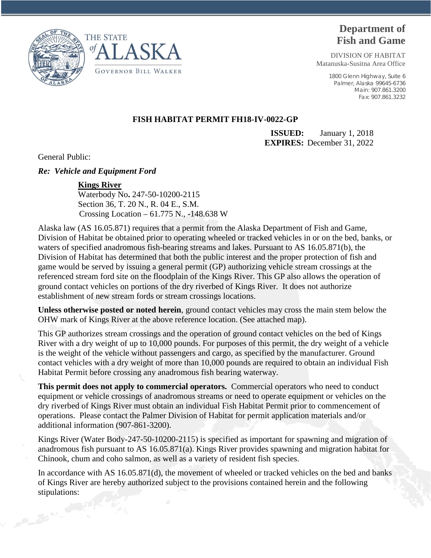

# **Department of Fish and Game**

DIVISION OF HABITAT Matanuska-Susitna Area Office

> 1800 Glenn Highway, Suite 6 Palmer, Alaska 99645-6736 Main: 907.861.3200 Fax: 907.861.3232

### **FISH HABITAT PERMIT FH18-IV-0022-GP**

**ISSUED:** January 1, 2018 **EXPIRES:** December 31, 2022

General Public:

#### *Re: Vehicle and Equipment Ford*

#### **Kings River**

 Waterbody No**.** 247-50-10200-2115 Section 36, T. 20 N., R. 04 E., S.M. Crossing Location – 61.775 N., -148.638 W

Alaska law (AS 16.05.871) requires that a permit from the Alaska Department of Fish and Game, Division of Habitat be obtained prior to operating wheeled or tracked vehicles in or on the bed, banks, or waters of specified anadromous fish-bearing streams and lakes. Pursuant to AS 16.05.871(b), the Division of Habitat has determined that both the public interest and the proper protection of fish and game would be served by issuing a general permit (GP) authorizing vehicle stream crossings at the referenced stream ford site on the floodplain of the Kings River. This GP also allows the operation of ground contact vehicles on portions of the dry riverbed of Kings River. It does not authorize establishment of new stream fords or stream crossings locations.

**Unless otherwise posted or noted herein**, ground contact vehicles may cross the main stem below the OHW mark of Kings River at the above reference location. (See attached map).

This GP authorizes stream crossings and the operation of ground contact vehicles on the bed of Kings River with a dry weight of up to 10,000 pounds. For purposes of this permit, the dry weight of a vehicle is the weight of the vehicle without passengers and cargo, as specified by the manufacturer. Ground contact vehicles with a dry weight of more than 10,000 pounds are required to obtain an individual Fish Habitat Permit before crossing any anadromous fish bearing waterway.

**This permit does not apply to commercial operators.** Commercial operators who need to conduct equipment or vehicle crossings of anadromous streams or need to operate equipment or vehicles on the dry riverbed of Kings River must obtain an individual Fish Habitat Permit prior to commencement of operations. Please contact the Palmer Division of Habitat for permit application materials and/or additional information (907-861-3200).

Kings River (Water Body-247-50-10200-2115) is specified as important for spawning and migration of anadromous fish pursuant to AS 16.05.871(a). Kings River provides spawning and migration habitat for Chinook, chum and coho salmon, as well as a variety of resident fish species.

In accordance with AS 16.05.871(d), the movement of wheeled or tracked vehicles on the bed and banks of Kings River are hereby authorized subject to the provisions contained herein and the following stipulations: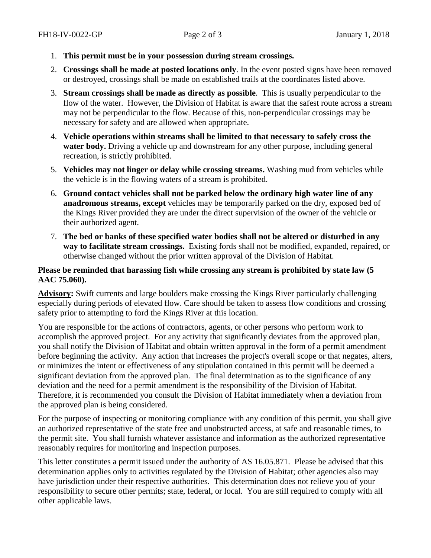- 1. **This permit must be in your possession during stream crossings.**
- 2. **Crossings shall be made at posted locations only**. In the event posted signs have been removed or destroyed, crossings shall be made on established trails at the coordinates listed above.
- 3. **Stream crossings shall be made as directly as possible**. This is usually perpendicular to the flow of the water. However, the Division of Habitat is aware that the safest route across a stream may not be perpendicular to the flow. Because of this, non-perpendicular crossings may be necessary for safety and are allowed when appropriate.
- 4. **Vehicle operations within streams shall be limited to that necessary to safely cross the water body.** Driving a vehicle up and downstream for any other purpose, including general recreation, is strictly prohibited.
- 5. **Vehicles may not linger or delay while crossing streams.** Washing mud from vehicles while the vehicle is in the flowing waters of a stream is prohibited.
- 6. **Ground contact vehicles shall not be parked below the ordinary high water line of any anadromous streams, except** vehicles may be temporarily parked on the dry, exposed bed of the Kings River provided they are under the direct supervision of the owner of the vehicle or their authorized agent.
- 7. **The bed or banks of these specified water bodies shall not be altered or disturbed in any way to facilitate stream crossings.** Existing fords shall not be modified, expanded, repaired, or otherwise changed without the prior written approval of the Division of Habitat.

## **Please be reminded that harassing fish while crossing any stream is prohibited by state law (5 AAC 75.060).**

**Advisory:** Swift currents and large boulders make crossing the Kings River particularly challenging especially during periods of elevated flow. Care should be taken to assess flow conditions and crossing safety prior to attempting to ford the Kings River at this location.

You are responsible for the actions of contractors, agents, or other persons who perform work to accomplish the approved project. For any activity that significantly deviates from the approved plan, you shall notify the Division of Habitat and obtain written approval in the form of a permit amendment before beginning the activity. Any action that increases the project's overall scope or that negates, alters, or minimizes the intent or effectiveness of any stipulation contained in this permit will be deemed a significant deviation from the approved plan. The final determination as to the significance of any deviation and the need for a permit amendment is the responsibility of the Division of Habitat. Therefore, it is recommended you consult the Division of Habitat immediately when a deviation from the approved plan is being considered.

For the purpose of inspecting or monitoring compliance with any condition of this permit, you shall give an authorized representative of the state free and unobstructed access, at safe and reasonable times, to the permit site. You shall furnish whatever assistance and information as the authorized representative reasonably requires for monitoring and inspection purposes.

This letter constitutes a permit issued under the authority of AS 16.05.871. Please be advised that this determination applies only to activities regulated by the Division of Habitat; other agencies also may have jurisdiction under their respective authorities. This determination does not relieve you of your responsibility to secure other permits; state, federal, or local. You are still required to comply with all other applicable laws.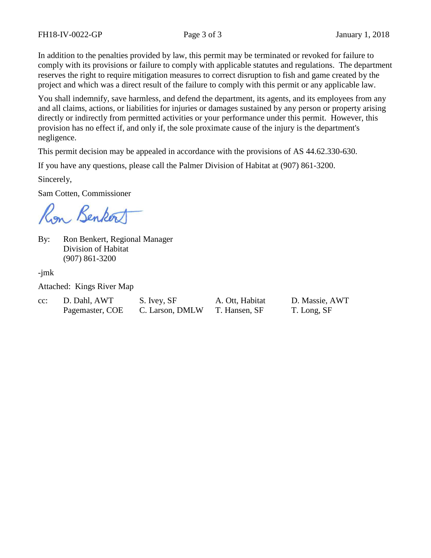In addition to the penalties provided by law, this permit may be terminated or revoked for failure to comply with its provisions or failure to comply with applicable statutes and regulations. The department reserves the right to require mitigation measures to correct disruption to fish and game created by the project and which was a direct result of the failure to comply with this permit or any applicable law.

You shall indemnify, save harmless, and defend the department, its agents, and its employees from any and all claims, actions, or liabilities for injuries or damages sustained by any person or property arising directly or indirectly from permitted activities or your performance under this permit. However, this provision has no effect if, and only if, the sole proximate cause of the injury is the department's negligence.

This permit decision may be appealed in accordance with the provisions of AS 44.62.330-630.

If you have any questions, please call the Palmer Division of Habitat at (907) 861-3200.

Sincerely,

Sam Cotten, Commissioner

Ron Benkort

By: Ron Benkert, Regional Manager Division of Habitat (907) 861-3200

-jmk

Attached: Kings River Map

| $cc$ : | D. Dahl, AWT    | S. Ivey, SF     |
|--------|-----------------|-----------------|
|        | Pagemaster, COE | C. Larson, DMLW |

T. Hansen, SF T. Long, SF

A. Ott. Habitat D. Massie, AWT